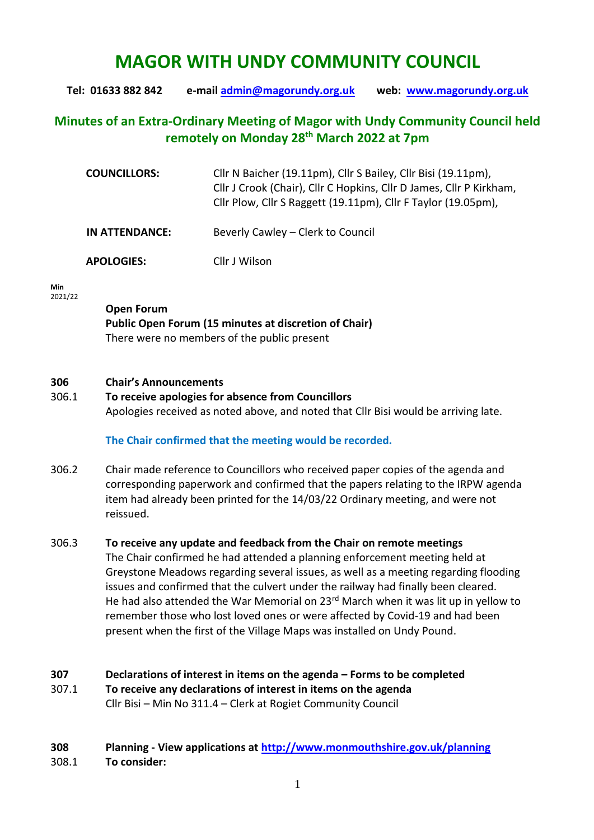# **MAGOR WITH UNDY COMMUNITY COUNCIL**

**Tel: 01633 882 842 e-mail [admin@magorundy.org.uk](mailto:admin@magorundy.org.uk) web: [www.magorundy.org.uk](http://www.magorundy.org.uk/)**

## **Minutes of an Extra-Ordinary Meeting of Magor with Undy Community Council held remotely on Monday 28th March 2022 at 7pm**

| <b>COUNCILLORS:</b> | Cllr N Baicher (19.11pm), Cllr S Bailey, Cllr Bisi (19.11pm),<br>Cllr J Crook (Chair), Cllr C Hopkins, Cllr D James, Cllr P Kirkham,<br>Cllr Plow, Cllr S Raggett (19.11pm), Cllr F Taylor (19.05pm), |
|---------------------|-------------------------------------------------------------------------------------------------------------------------------------------------------------------------------------------------------|
| IN ATTENDANCE:      | Beverly Cawley – Clerk to Council                                                                                                                                                                     |
| <b>APOLOGIES:</b>   | Cllr J Wilson                                                                                                                                                                                         |

#### **Min**  2021/22

### **Open Forum Public Open Forum (15 minutes at discretion of Chair)** There were no members of the public present

#### **306 Chair's Announcements**

306.1 **To receive apologies for absence from Councillors** Apologies received as noted above, and noted that Cllr Bisi would be arriving late.

#### **The Chair confirmed that the meeting would be recorded.**

306.2 Chair made reference to Councillors who received paper copies of the agenda and corresponding paperwork and confirmed that the papers relating to the IRPW agenda item had already been printed for the 14/03/22 Ordinary meeting, and were not reissued.

#### 306.3 **To receive any update and feedback from the Chair on remote meetings** The Chair confirmed he had attended a planning enforcement meeting held at Greystone Meadows regarding several issues, as well as a meeting regarding flooding issues and confirmed that the culvert under the railway had finally been cleared. He had also attended the War Memorial on  $23<sup>rd</sup>$  March when it was lit up in yellow to remember those who lost loved ones or were affected by Covid-19 and had been present when the first of the Village Maps was installed on Undy Pound.

#### **307 Declarations of interest in items on the agenda – Forms to be completed** 307.1 **To receive any declarations of interest in items on the agenda** Cllr Bisi – Min No 311.4 – Clerk at Rogiet Community Council

#### **308 Planning - View applications at<http://www.monmouthshire.gov.uk/planning>** 308.1 **To consider:**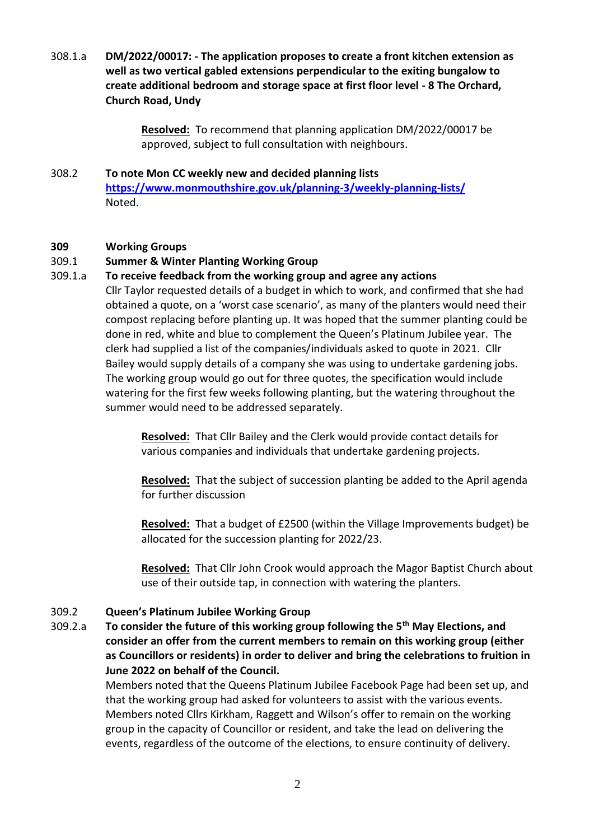308.1.a **DM/2022/00017: - The application proposes to create a front kitchen extension as well as two vertical gabled extensions perpendicular to the exiting bungalow to create additional bedroom and storage space at first floor level - 8 The Orchard, Church Road, Undy**

> **Resolved:** To recommend that planning application DM/2022/00017 be approved, subject to full consultation with neighbours.

308.2 **To note Mon CC weekly new and decided planning lists <https://www.monmouthshire.gov.uk/planning-3/weekly-planning-lists/>** Noted.

#### **309 Working Groups**

#### 309.1 **Summer & Winter Planting Working Group**

309.1.a **To receive feedback from the working group and agree any actions** Cllr Taylor requested details of a budget in which to work, and confirmed that she had obtained a quote, on a 'worst case scenario', as many of the planters would need their compost replacing before planting up. It was hoped that the summer planting could be done in red, white and blue to complement the Queen's Platinum Jubilee year. The clerk had supplied a list of the companies/individuals asked to quote in 2021. Cllr Bailey would supply details of a company she was using to undertake gardening jobs. The working group would go out for three quotes, the specification would include watering for the first few weeks following planting, but the watering throughout the summer would need to be addressed separately.

> **Resolved:** That Cllr Bailey and the Clerk would provide contact details for various companies and individuals that undertake gardening projects.

**Resolved:** That the subject of succession planting be added to the April agenda for further discussion

**Resolved:** That a budget of £2500 (within the Village Improvements budget) be allocated for the succession planting for 2022/23.

**Resolved:** That Cllr John Crook would approach the Magor Baptist Church about use of their outside tap, in connection with watering the planters.

#### 309.2 **Queen's Platinum Jubilee Working Group**

309.2.a **To consider the future of this working group following the 5th May Elections, and consider an offer from the current members to remain on this working group (either as Councillors or residents) in order to deliver and bring the celebrations to fruition in June 2022 on behalf of the Council.**

> Members noted that the Queens Platinum Jubilee Facebook Page had been set up, and that the working group had asked for volunteers to assist with the various events. Members noted Cllrs Kirkham, Raggett and Wilson's offer to remain on the working group in the capacity of Councillor or resident, and take the lead on delivering the events, regardless of the outcome of the elections, to ensure continuity of delivery.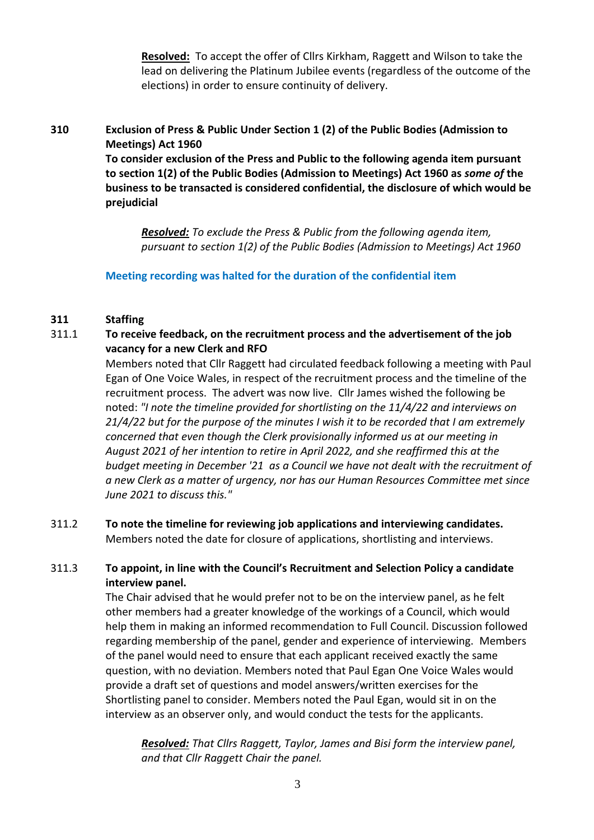**Resolved:** To accept the offer of Cllrs Kirkham, Raggett and Wilson to take the lead on delivering the Platinum Jubilee events (regardless of the outcome of the elections) in order to ensure continuity of delivery.

### **310 Exclusion of Press & Public Under Section 1 (2) of the Public Bodies (Admission to Meetings) Act 1960**

**To consider exclusion of the Press and Public to the following agenda item pursuant to section 1(2) of the Public Bodies (Admission to Meetings) Act 1960 as** *some of* **the business to be transacted is considered confidential, the disclosure of which would be prejudicial**

*Resolved: To exclude the Press & Public from the following agenda item, pursuant to section 1(2) of the Public Bodies (Admission to Meetings) Act 1960*

#### **Meeting recording was halted for the duration of the confidential item**

#### **311 Staffing**

### 311.1 **To receive feedback, on the recruitment process and the advertisement of the job vacancy for a new Clerk and RFO**

Members noted that Cllr Raggett had circulated feedback following a meeting with Paul Egan of One Voice Wales, in respect of the recruitment process and the timeline of the recruitment process. The advert was now live. Cllr James wished the following be noted: *"I note the timeline provided for shortlisting on the 11/4/22 and interviews on 21/4/22 but for the purpose of the minutes I wish it to be recorded that I am extremely concerned that even though the Clerk provisionally informed us at our meeting in August 2021 of her intention to retire in April 2022, and she reaffirmed this at the budget meeting in December '21 as a Council we have not dealt with the recruitment of a new Clerk as a matter of urgency, nor has our Human Resources Committee met since June 2021 to discuss this."*

#### 311.2 **To note the timeline for reviewing job applications and interviewing candidates.** Members noted the date for closure of applications, shortlisting and interviews.

#### 311.3 **To appoint, in line with the Council's Recruitment and Selection Policy a candidate interview panel.**

The Chair advised that he would prefer not to be on the interview panel, as he felt other members had a greater knowledge of the workings of a Council, which would help them in making an informed recommendation to Full Council. Discussion followed regarding membership of the panel, gender and experience of interviewing. Members of the panel would need to ensure that each applicant received exactly the same question, with no deviation. Members noted that Paul Egan One Voice Wales would provide a draft set of questions and model answers/written exercises for the Shortlisting panel to consider. Members noted the Paul Egan, would sit in on the interview as an observer only, and would conduct the tests for the applicants.

*Resolved: That Cllrs Raggett, Taylor, James and Bisi form the interview panel, and that Cllr Raggett Chair the panel.*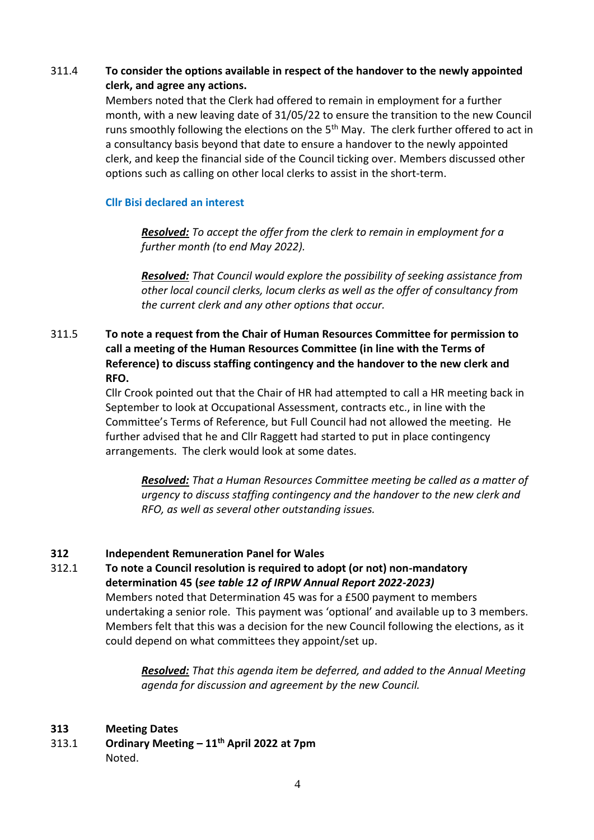### 311.4 **To consider the options available in respect of the handover to the newly appointed clerk, and agree any actions.**

Members noted that the Clerk had offered to remain in employment for a further month, with a new leaving date of 31/05/22 to ensure the transition to the new Council runs smoothly following the elections on the 5<sup>th</sup> May. The clerk further offered to act in a consultancy basis beyond that date to ensure a handover to the newly appointed clerk, and keep the financial side of the Council ticking over. Members discussed other options such as calling on other local clerks to assist in the short-term.

#### **Cllr Bisi declared an interest**

*Resolved: To accept the offer from the clerk to remain in employment for a further month (to end May 2022).*

*Resolved: That Council would explore the possibility of seeking assistance from other local council clerks, locum clerks as well as the offer of consultancy from the current clerk and any other options that occur.* 

### 311.5 **To note a request from the Chair of Human Resources Committee for permission to call a meeting of the Human Resources Committee (in line with the Terms of Reference) to discuss staffing contingency and the handover to the new clerk and RFO.**

Cllr Crook pointed out that the Chair of HR had attempted to call a HR meeting back in September to look at Occupational Assessment, contracts etc., in line with the Committee's Terms of Reference, but Full Council had not allowed the meeting. He further advised that he and Cllr Raggett had started to put in place contingency arrangements. The clerk would look at some dates.

*Resolved: That a Human Resources Committee meeting be called as a matter of urgency to discuss staffing contingency and the handover to the new clerk and RFO, as well as several other outstanding issues.*

#### **312 Independent Remuneration Panel for Wales**

312.1 **To note a Council resolution is required to adopt (or not) non-mandatory determination 45 (***see table 12 of IRPW Annual Report 2022-2023)* Members noted that Determination 45 was for a £500 payment to members undertaking a senior role. This payment was 'optional' and available up to 3 members. Members felt that this was a decision for the new Council following the elections, as it

could depend on what committees they appoint/set up.

*Resolved: That this agenda item be deferred, and added to the Annual Meeting agenda for discussion and agreement by the new Council.*

#### **313 Meeting Dates**

313.1 **Ordinary Meeting – 11th April 2022 at 7pm** Noted.